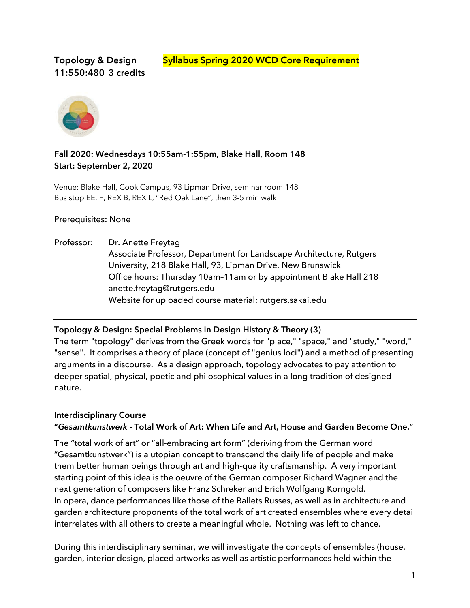# **11:550:480 3 credits**

Topology & Design **Syllabus Spring 2020 WCD Core Requirement** 



# **Fall 2020: Wednesdays 10:55am-1:55pm, Blake Hall, Room 148 Start: September 2, 2020**

Venue: Blake Hall, Cook Campus, 93 Lipman Drive, seminar room 148 Bus stop EE, F, REX B, REX L, "Red Oak Lane", then 3-5 min walk

## Prerequisites: None

Professor: Dr. Anette Freytag Associate Professor, Department for Landscape Architecture, Rutgers University, 218 Blake Hall, 93, Lipman Drive, New Brunswick Office hours: Thursday 10am–11am or by appointment Blake Hall 218 anette.freytag@rutgers.edu Website for uploaded course material: rutgers.sakai.edu

## **Topology & Design: Special Problems in Design History & Theory (3)**

The term "topology" derives from the Greek words for "place," "space," and "study," "word," "sense". It comprises a theory of place (concept of "genius loci") and a method of presenting arguments in a discourse. As a design approach, topology advocates to pay attention to deeper spatial, physical, poetic and philosophical values in a long tradition of designed nature.

# **Interdisciplinary Course**

# **"***Gesamtkunstwerk* **- Total Work of Art: When Life and Art, House and Garden Become One."**

The "total work of art" or "all-embracing art form" (deriving from the German word "Gesamtkunstwerk") is a utopian concept to transcend the daily life of people and make them better human beings through art and high-quality craftsmanship. A very important starting point of this idea is the oeuvre of the German composer Richard Wagner and the next generation of composers like Franz Schreker and Erich Wolfgang Korngold. In opera, dance performances like those of the Ballets Russes, as well as in architecture and garden architecture proponents of the total work of art created ensembles where every detail interrelates with all others to create a meaningful whole. Nothing was left to chance.

During this interdisciplinary seminar, we will investigate the concepts of ensembles (house, garden, interior design, placed artworks as well as artistic performances held within the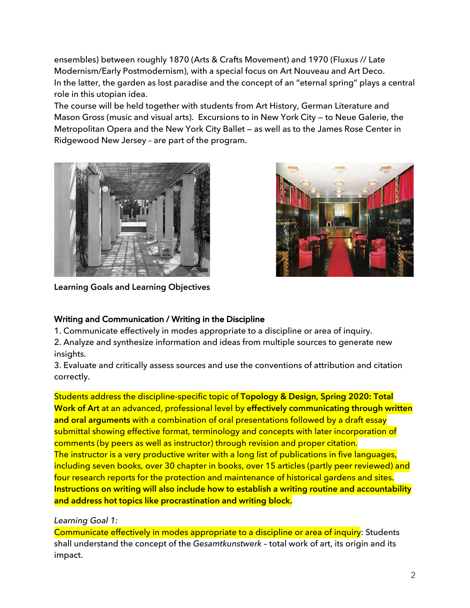ensembles) between roughly 1870 (Arts & Crafts Movement) and 1970 (Fluxus // Late Modernism/Early Postmodernism), with a special focus on Art Nouveau and Art Deco. In the latter, the garden as lost paradise and the concept of an "eternal spring" plays a central role in this utopian idea.

The course will be held together with students from Art History, German Literature and Mason Gross (music and visual arts). Excursions to in New York City — to Neue Galerie, the Metropolitan Opera and the New York City Ballet — as well as to the James Rose Center in Ridgewood New Jersey – are part of the program.





**Learning Goals and Learning Objectives**

# Writing and Communication / Writing in the Discipline

1. Communicate effectively in modes appropriate to a discipline or area of inquiry.

2. Analyze and synthesize information and ideas from multiple sources to generate new insights.

3. Evaluate and critically assess sources and use the conventions of attribution and citation correctly.

Students address the discipline-specific topic of **Topology & Design, Spring 2020: Total Work of Art** at an advanced, professional level by **effectively communicating through written and oral arguments** with a combination of oral presentations followed by a draft essay submittal showing effective format, terminology and concepts with later incorporation of comments (by peers as well as instructor) through revision and proper citation. The instructor is a very productive writer with a long list of publications in five languages, including seven books, over 30 chapter in books, over 15 articles (partly peer reviewed) and four research reports for the protection and maintenance of historical gardens and sites. **Instructions on writing will also include how to establish a writing routine and accountability and address hot topics like procrastination and writing block.**

# *Learning Goal 1:*

Communicate effectively in modes appropriate to a discipline or area of inquiry: Students shall understand the concept of the *Gesamtkunstwerk* – total work of art, its origin and its impact.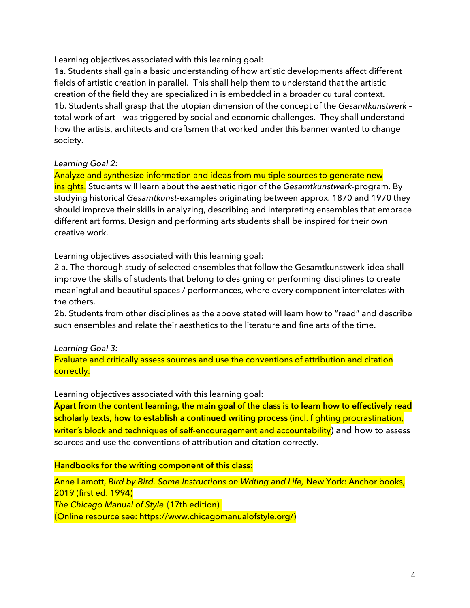Learning objectives associated with this learning goal:

1a. Students shall gain a basic understanding of how artistic developments affect different fields of artistic creation in parallel. This shall help them to understand that the artistic creation of the field they are specialized in is embedded in a broader cultural context. 1b. Students shall grasp that the utopian dimension of the concept of the *Gesamtkunstwerk* – total work of art – was triggered by social and economic challenges. They shall understand how the artists, architects and craftsmen that worked under this banner wanted to change society.

*Learning Goal 2:*

Analyze and synthesize information and ideas from multiple sources to generate new insights. Students will learn about the aesthetic rigor of the *Gesamtkunstwerk*-program. By studying historical *Gesamtkunst*-examples originating between approx. 1870 and 1970 they should improve their skills in analyzing, describing and interpreting ensembles that embrace different art forms. Design and performing arts students shall be inspired for their own creative work.

Learning objectives associated with this learning goal:

2 a. The thorough study of selected ensembles that follow the Gesamtkunstwerk-idea shall improve the skills of students that belong to designing or performing disciplines to create meaningful and beautiful spaces / performances, where every component interrelates with the others.

2b. Students from other disciplines as the above stated will learn how to "read" and describe such ensembles and relate their aesthetics to the literature and fine arts of the time.

# *Learning Goal 3:*

Evaluate and critically assess sources and use the conventions of attribution and citation correctly.

Learning objectives associated with this learning goal:

**Apart from the content learning, the main goal of the class is to learn how to effectively read scholarly texts, how to establish a continued writing process** (incl. fighting procrastination, writer's block and techniques of self-encouragement and accountability) and how to assess sources and use the conventions of attribution and citation correctly.

# **Handbooks for the writing component of this class:**

Anne Lamott, *Bird by Bird. Some Instructions on Writing and Life,* New York: Anchor books, 2019 (first ed. 1994) *The Chicago Manual of Style* (17th edition) (Online resource see: https://www.chicagomanualofstyle.org/)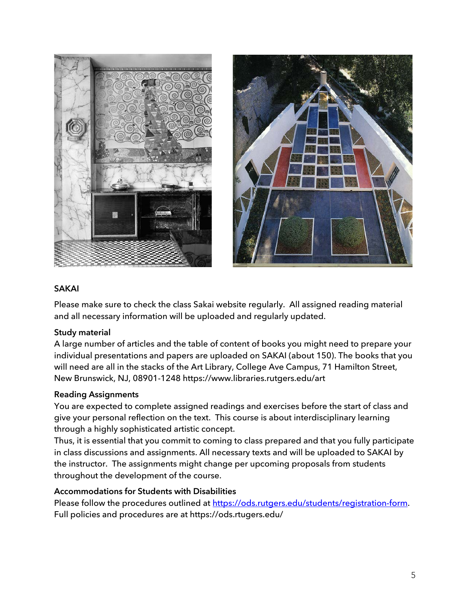



#### **SAKAI**

Please make sure to check the class Sakai website regularly. All assigned reading material and all necessary information will be uploaded and regularly updated.

## **Study material**

A large number of articles and the table of content of books you might need to prepare your individual presentations and papers are uploaded on SAKAI (about 150). The books that you will need are all in the stacks of the Art Library, College Ave Campus, 71 Hamilton Street, New Brunswick, NJ, 08901-1248 https://www.libraries.rutgers.edu/art

## **Reading Assignments**

You are expected to complete assigned readings and exercises before the start of class and give your personal reflection on the text. This course is about interdisciplinary learning through a highly sophisticated artistic concept.

Thus, it is essential that you commit to coming to class prepared and that you fully participate in class discussions and assignments. All necessary texts and will be uploaded to SAKAI by the instructor. The assignments might change per upcoming proposals from students throughout the development of the course.

## **Accommodations for Students with Disabilities**

Please follow the procedures outlined at https://ods.rutgers.edu/students/registration-form. Full policies and procedures are at https://ods.rtugers.edu/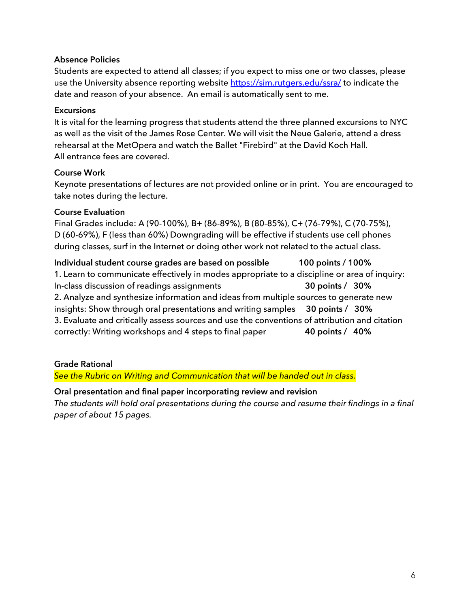#### **Absence Policies**

Students are expected to attend all classes; if you expect to miss one or two classes, please use the University absence reporting website https://sim.rutgers.edu/ssra/ to indicate the date and reason of your absence. An email is automatically sent to me.

#### **Excursions**

It is vital for the learning progress that students attend the three planned excursions to NYC as well as the visit of the James Rose Center. We will visit the Neue Galerie, attend a dress rehearsal at the MetOpera and watch the Ballet "Firebird" at the David Koch Hall. All entrance fees are covered.

#### **Course Work**

Keynote presentations of lectures are not provided online or in print. You are encouraged to take notes during the lecture.

#### **Course Evaluation**

Final Grades include: A (90-100%), B+ (86-89%), B (80-85%), C+ (76-79%), C (70-75%), D (60-69%), F (less than 60%) Downgrading will be effective if students use cell phones during classes, surf in the Internet or doing other work not related to the actual class.

**Individual student course grades are based on possible 100 points / 100%** 1. Learn to communicate effectively in modes appropriate to a discipline or area of inquiry: In-class discussion of readings assignments **30 points / 30%** 2. Analyze and synthesize information and ideas from multiple sources to generate new insights: Show through oral presentations and writing samples **30 points / 30%** 3. Evaluate and critically assess sources and use the conventions of attribution and citation correctly: Writing workshops and 4 steps to final paper **40 points / 40%**

**Grade Rational**

*See the Rubric on Writing and Communication that will be handed out in class.*

**Oral presentation and final paper incorporating review and revision** *The students will hold oral presentations during the course and resume their findings in a final paper of about 15 pages.*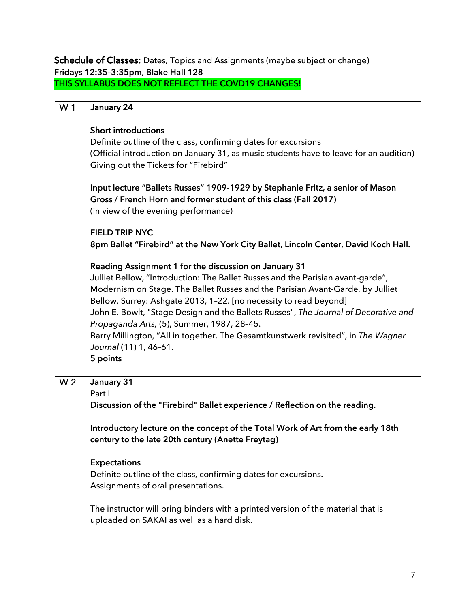Schedule of Classes: Dates, Topics and Assignments (maybe subject or change) **Fridays 12:35–3:35pm, Blake Hall 128 THIS SYLLABUS DOES NOT REFLECT THE COVD19 CHANGES!**

| W <sub>1</sub> | January 24                                                                                                                                                                                                                                                                                                                                                                                                                                                                                                                                                      |
|----------------|-----------------------------------------------------------------------------------------------------------------------------------------------------------------------------------------------------------------------------------------------------------------------------------------------------------------------------------------------------------------------------------------------------------------------------------------------------------------------------------------------------------------------------------------------------------------|
|                | <b>Short introductions</b><br>Definite outline of the class, confirming dates for excursions<br>(Official introduction on January 31, as music students have to leave for an audition)<br>Giving out the Tickets for "Firebird"                                                                                                                                                                                                                                                                                                                                 |
|                | Input lecture "Ballets Russes" 1909-1929 by Stephanie Fritz, a senior of Mason<br>Gross / French Horn and former student of this class (Fall 2017)<br>(in view of the evening performance)                                                                                                                                                                                                                                                                                                                                                                      |
|                | <b>FIELD TRIP NYC</b><br>8pm Ballet "Firebird" at the New York City Ballet, Lincoln Center, David Koch Hall.                                                                                                                                                                                                                                                                                                                                                                                                                                                    |
|                | Reading Assignment 1 for the discussion on January 31<br>Julliet Bellow, "Introduction: The Ballet Russes and the Parisian avant-garde",<br>Modernism on Stage. The Ballet Russes and the Parisian Avant-Garde, by Julliet<br>Bellow, Surrey: Ashgate 2013, 1-22. [no necessity to read beyond]<br>John E. Bowlt, "Stage Design and the Ballets Russes", The Journal of Decorative and<br>Propaganda Arts, (5), Summer, 1987, 28-45.<br>Barry Millington, "All in together. The Gesamtkunstwerk revisited", in The Wagner<br>Journal (11) 1, 46-61.<br>5 points |
| W <sub>2</sub> | January 31                                                                                                                                                                                                                                                                                                                                                                                                                                                                                                                                                      |
|                | Part I<br>Discussion of the "Firebird" Ballet experience / Reflection on the reading.                                                                                                                                                                                                                                                                                                                                                                                                                                                                           |
|                | Introductory lecture on the concept of the Total Work of Art from the early 18th<br>century to the late 20th century (Anette Freytag)                                                                                                                                                                                                                                                                                                                                                                                                                           |
|                | <b>Expectations</b><br>Definite outline of the class, confirming dates for excursions.<br>Assignments of oral presentations.                                                                                                                                                                                                                                                                                                                                                                                                                                    |
|                | The instructor will bring binders with a printed version of the material that is<br>uploaded on SAKAI as well as a hard disk.                                                                                                                                                                                                                                                                                                                                                                                                                                   |
|                |                                                                                                                                                                                                                                                                                                                                                                                                                                                                                                                                                                 |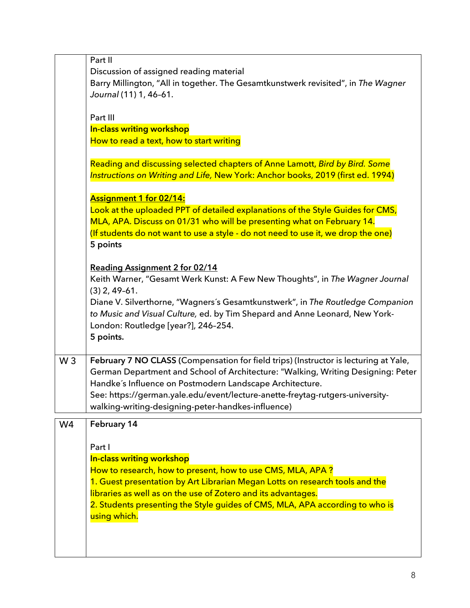|       | Part II                                                                              |
|-------|--------------------------------------------------------------------------------------|
|       | Discussion of assigned reading material                                              |
|       | Barry Millington, "All in together. The Gesamtkunstwerk revisited", in The Wagner    |
|       | Journal (11) 1, 46-61.                                                               |
|       |                                                                                      |
|       | Part III                                                                             |
|       | In-class writing workshop                                                            |
|       | How to read a text, how to start writing                                             |
|       |                                                                                      |
|       | Reading and discussing selected chapters of Anne Lamott, Bird by Bird. Some          |
|       | Instructions on Writing and Life, New York: Anchor books, 2019 (first ed. 1994)      |
|       |                                                                                      |
|       | <b>Assignment 1 for 02/14:</b>                                                       |
|       | Look at the uploaded PPT of detailed explanations of the Style Guides for CMS,       |
|       | MLA, APA. Discuss on 01/31 who will be presenting what on February 14.               |
|       | (If students do not want to use a style - do not need to use it, we drop the one)    |
|       | 5 points                                                                             |
|       |                                                                                      |
|       | Reading Assignment 2 for 02/14                                                       |
|       | Keith Warner, "Gesamt Werk Kunst: A Few New Thoughts", in The Wagner Journal         |
|       | $(3)$ 2, 49-61.                                                                      |
|       | Diane V. Silverthorne, "Wagners's Gesamtkunstwerk", in The Routledge Companion       |
|       | to Music and Visual Culture, ed. by Tim Shepard and Anne Leonard, New York-          |
|       | London: Routledge [year?], 246-254.                                                  |
|       | 5 points.                                                                            |
|       |                                                                                      |
| $W_3$ | February 7 NO CLASS (Compensation for field trips) (Instructor is lecturing at Yale, |
|       | German Department and School of Architecture: "Walking, Writing Designing: Peter     |
|       | Handke's Influence on Postmodern Landscape Architecture.                             |
|       | See: https://german.yale.edu/event/lecture-anette-freytag-rutgers-university-        |
|       | walking-writing-designing-peter-handkes-influence)                                   |
|       |                                                                                      |
| W4    | February 14                                                                          |
|       |                                                                                      |
|       | Part I                                                                               |
|       | In-class writing workshop                                                            |
|       | How to research, how to present, how to use CMS, MLA, APA?                           |
|       | 1. Guest presentation by Art Librarian Megan Lotts on research tools and the         |
|       | libraries as well as on the use of Zotero and its advantages.                        |
|       | 2. Students presenting the Style guides of CMS, MLA, APA according to who is         |
|       | using which.                                                                         |
|       |                                                                                      |
|       |                                                                                      |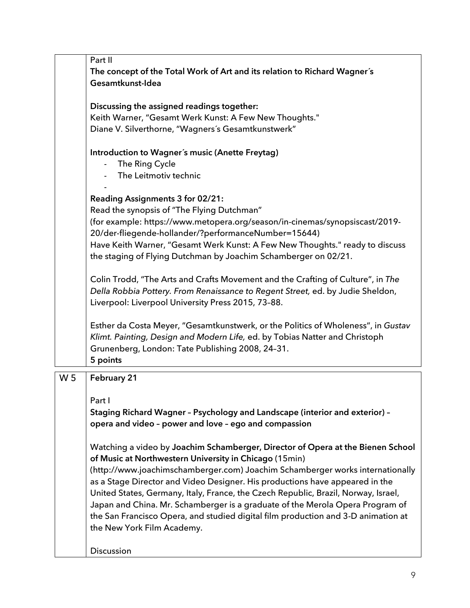|                | Part II                                                                            |
|----------------|------------------------------------------------------------------------------------|
|                | The concept of the Total Work of Art and its relation to Richard Wagner's          |
|                | Gesamtkunst-Idea                                                                   |
|                |                                                                                    |
|                | Discussing the assigned readings together:                                         |
|                | Keith Warner, "Gesamt Werk Kunst: A Few New Thoughts."                             |
|                | Diane V. Silverthorne, "Wagners's Gesamtkunstwerk"                                 |
|                |                                                                                    |
|                | Introduction to Wagner's music (Anette Freytag)                                    |
|                | The Ring Cycle                                                                     |
|                | The Leitmotiv technic                                                              |
|                |                                                                                    |
|                | Reading Assignments 3 for 02/21:                                                   |
|                | Read the synopsis of "The Flying Dutchman"                                         |
|                | (for example: https://www.metopera.org/season/in-cinemas/synopsiscast/2019-        |
|                | 20/der-fliegende-hollander/?performanceNumber=15644)                               |
|                | Have Keith Warner, "Gesamt Werk Kunst: A Few New Thoughts." ready to discuss       |
|                | the staging of Flying Dutchman by Joachim Schamberger on 02/21.                    |
|                | Colin Trodd, "The Arts and Crafts Movement and the Crafting of Culture", in The    |
|                | Della Robbia Pottery. From Renaissance to Regent Street, ed. by Judie Sheldon,     |
|                | Liverpool: Liverpool University Press 2015, 73-88.                                 |
|                |                                                                                    |
|                | Esther da Costa Meyer, "Gesamtkunstwerk, or the Politics of Wholeness", in Gustav  |
|                | Klimt. Painting, Design and Modern Life, ed. by Tobias Natter and Christoph        |
|                | Grunenberg, London: Tate Publishing 2008, 24-31.                                   |
|                | 5 points                                                                           |
|                |                                                                                    |
| W <sub>5</sub> | February 21                                                                        |
|                |                                                                                    |
|                | Part I                                                                             |
|                | Staging Richard Wagner - Psychology and Landscape (interior and exterior) -        |
|                | opera and video - power and love - ego and compassion                              |
|                |                                                                                    |
|                | Watching a video by Joachim Schamberger, Director of Opera at the Bienen School    |
|                | of Music at Northwestern University in Chicago (15min)                             |
|                | (http://www.joachimschamberger.com) Joachim Schamberger works internationally      |
|                | as a Stage Director and Video Designer. His productions have appeared in the       |
|                | United States, Germany, Italy, France, the Czech Republic, Brazil, Norway, Israel, |
|                | Japan and China. Mr. Schamberger is a graduate of the Merola Opera Program of      |
|                | the San Francisco Opera, and studied digital film production and 3-D animation at  |
|                | the New York Film Academy.                                                         |
|                | Discussion                                                                         |
|                |                                                                                    |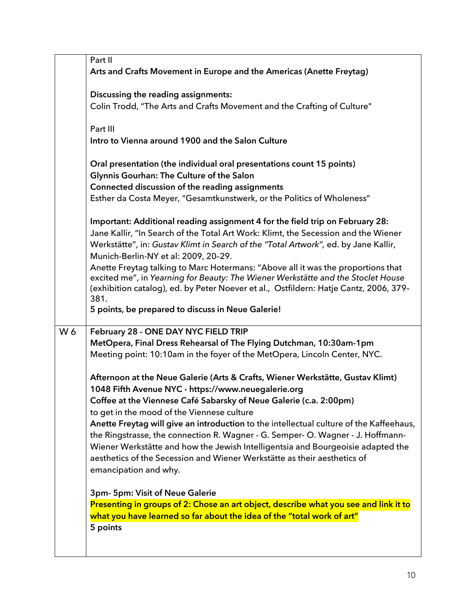|     | Part II                                                                                 |
|-----|-----------------------------------------------------------------------------------------|
|     | Arts and Crafts Movement in Europe and the Americas (Anette Freytag)                    |
|     |                                                                                         |
|     | Discussing the reading assignments:                                                     |
|     |                                                                                         |
|     | Colin Trodd, "The Arts and Crafts Movement and the Crafting of Culture"                 |
|     |                                                                                         |
|     | Part III                                                                                |
|     | Intro to Vienna around 1900 and the Salon Culture                                       |
|     |                                                                                         |
|     | Oral presentation (the individual oral presentations count 15 points)                   |
|     | Glynnis Gourhan: The Culture of the Salon                                               |
|     | Connected discussion of the reading assignments                                         |
|     | Esther da Costa Meyer, "Gesamtkunstwerk, or the Politics of Wholeness"                  |
|     |                                                                                         |
|     | Important: Additional reading assignment 4 for the field trip on February 28:           |
|     | Jane Kallir, "In Search of the Total Art Work: Klimt, the Secession and the Wiener      |
|     | Werkstätte", in: Gustav Klimt in Search of the "Total Artwork", ed. by Jane Kallir,     |
|     | Munich-Berlin-NY et al: 2009, 20-29.                                                    |
|     | Anette Freytag talking to Marc Hotermans: "Above all it was the proportions that        |
|     | excited me", in Yearning for Beauty: The Wiener Werkstätte and the Stoclet House        |
|     | (exhibition catalog), ed. by Peter Noever et al., Ostfildern: Hatje Cantz, 2006, 379-   |
|     | 381.                                                                                    |
|     |                                                                                         |
|     |                                                                                         |
|     | 5 points, be prepared to discuss in Neue Galerie!                                       |
|     |                                                                                         |
| W 6 | February 28 - ONE DAY NYC FIELD TRIP                                                    |
|     | MetOpera, Final Dress Rehearsal of The Flying Dutchman, 10:30am-1pm                     |
|     | Meeting point: 10:10am in the foyer of the MetOpera, Lincoln Center, NYC.               |
|     |                                                                                         |
|     | Afternoon at the Neue Galerie (Arts & Crafts, Wiener Werkstätte, Gustav Klimt)          |
|     | 1048 Fifth Avenue NYC - https://www.neuegalerie.org                                     |
|     | Coffee at the Viennese Café Sabarsky of Neue Galerie (c.a. 2:00pm)                      |
|     | to get in the mood of the Viennese culture                                              |
|     | Anette Freytag will give an introduction to the intellectual culture of the Kaffeehaus, |
|     | the Ringstrasse, the connection R. Wagner - G. Semper- O. Wagner - J. Hoffmann-         |
|     | Wiener Werkstätte and how the Jewish Intelligentsia and Bourgeoisie adapted the         |
|     | aesthetics of the Secession and Wiener Werkstätte as their aesthetics of                |
|     | emancipation and why.                                                                   |
|     |                                                                                         |
|     | 3pm- 5pm: Visit of Neue Galerie                                                         |
|     |                                                                                         |
|     | Presenting in groups of 2: Chose an art object, describe what you see and link it to    |
|     | what you have learned so far about the idea of the "total work of art"                  |
|     | 5 points                                                                                |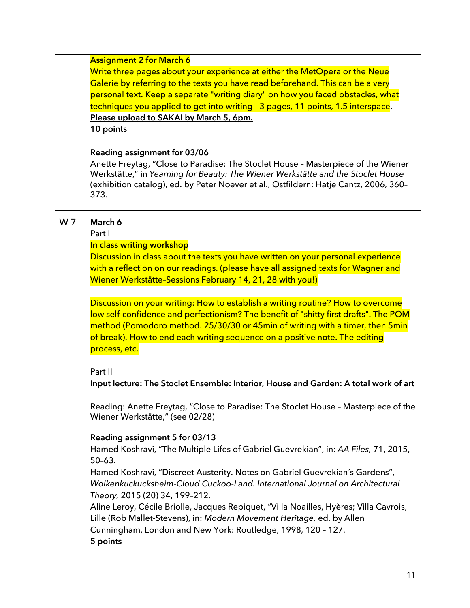|                | <b>Assignment 2 for March 6</b><br>Write three pages about your experience at either the MetOpera or the Neue<br>Galerie by referring to the texts you have read beforehand. This can be a very<br>personal text. Keep a separate "writing diary" on how you faced obstacles, what<br>techniques you applied to get into writing - 3 pages, 11 points, 1.5 interspace.<br>Please upload to SAKAI by March 5, 6pm.<br>10 points<br>Reading assignment for 03/06<br>Anette Freytag, "Close to Paradise: The Stoclet House - Masterpiece of the Wiener<br>Werkstätte," in Yearning for Beauty: The Wiener Werkstätte and the Stoclet House<br>(exhibition catalog), ed. by Peter Noever et al., Ostfildern: Hatje Cantz, 2006, 360-<br>373. |
|----------------|------------------------------------------------------------------------------------------------------------------------------------------------------------------------------------------------------------------------------------------------------------------------------------------------------------------------------------------------------------------------------------------------------------------------------------------------------------------------------------------------------------------------------------------------------------------------------------------------------------------------------------------------------------------------------------------------------------------------------------------|
| W <sub>7</sub> | March 6<br>Part I<br>In class writing workshop<br>Discussion in class about the texts you have written on your personal experience<br>with a reflection on our readings. (please have all assigned texts for Wagner and<br>Wiener Werkstätte-Sessions February 14, 21, 28 with you!)<br>Discussion on your writing: How to establish a writing routine? How to overcome<br>low self-confidence and perfectionism? The benefit of "shitty first drafts". The POM                                                                                                                                                                                                                                                                          |
|                | method (Pomodoro method. 25/30/30 or 45min of writing with a timer, then 5min<br>of break). How to end each writing sequence on a positive note. The editing<br>process, etc.<br>Part II<br>Input lecture: The Stoclet Ensemble: Interior, House and Garden: A total work of art                                                                                                                                                                                                                                                                                                                                                                                                                                                         |
|                | Reading: Anette Freytag, "Close to Paradise: The Stoclet House - Masterpiece of the<br>Wiener Werkstätte," (see 02/28)<br>Reading assignment 5 for 03/13<br>Hamed Koshravi, "The Multiple Lifes of Gabriel Guevrekian", in: AA Files, 71, 2015,<br>$50-63.$                                                                                                                                                                                                                                                                                                                                                                                                                                                                              |
|                | Hamed Koshravi, "Discreet Austerity. Notes on Gabriel Guevrekian's Gardens",<br>Wolkenkuckucksheim-Cloud Cuckoo-Land. International Journal on Architectural<br>Theory, 2015 (20) 34, 199-212.<br>Aline Leroy, Cécile Briolle, Jacques Repiquet, "Villa Noailles, Hyères; Villa Cavrois,<br>Lille (Rob Mallet-Stevens), in: Modern Movement Heritage, ed. by Allen<br>Cunningham, London and New York: Routledge, 1998, 120 - 127.<br>5 points                                                                                                                                                                                                                                                                                           |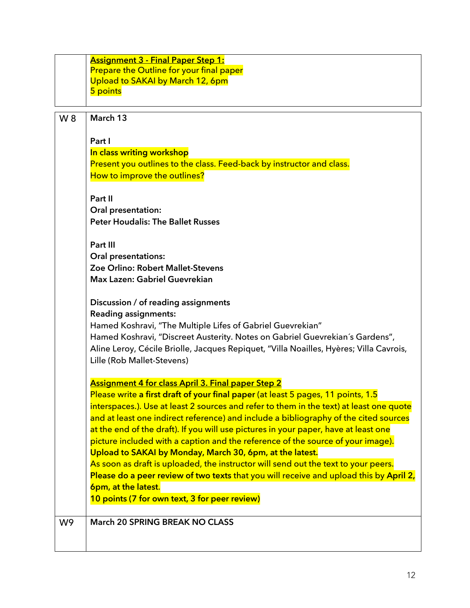|                | <b>Assignment 3 - Final Paper Step 1:</b><br>Prepare the Outline for your final paper<br>Upload to SAKAI by March 12, 6pm<br>5 points                                           |
|----------------|---------------------------------------------------------------------------------------------------------------------------------------------------------------------------------|
| W 8            | March 13                                                                                                                                                                        |
|                |                                                                                                                                                                                 |
|                | Part I<br>In class writing workshop                                                                                                                                             |
|                | Present you outlines to the class. Feed-back by instructor and class.                                                                                                           |
|                | How to improve the outlines?                                                                                                                                                    |
|                | Part II                                                                                                                                                                         |
|                | Oral presentation:<br><b>Peter Houdalis: The Ballet Russes</b>                                                                                                                  |
|                | Part III                                                                                                                                                                        |
|                | Oral presentations:                                                                                                                                                             |
|                | Zoe Orlino: Robert Mallet-Stevens<br>Max Lazen: Gabriel Guevrekian                                                                                                              |
|                | Discussion / of reading assignments<br><b>Reading assignments:</b>                                                                                                              |
|                | Hamed Koshravi, "The Multiple Lifes of Gabriel Guevrekian"                                                                                                                      |
|                | Hamed Koshravi, "Discreet Austerity. Notes on Gabriel Guevrekian's Gardens",                                                                                                    |
|                | Aline Leroy, Cécile Briolle, Jacques Repiquet, "Villa Noailles, Hyères; Villa Cavrois,<br>Lille (Rob Mallet-Stevens)                                                            |
|                | <b>Assignment 4 for class April 3. Final paper Step 2</b>                                                                                                                       |
|                | Please write a first draft of your final paper (at least 5 pages, 11 points, 1.5                                                                                                |
|                | interspaces.). Use at least 2 sources and refer to them in the text) at least one quote<br>and at least one indirect reference) and include a bibliography of the cited sources |
|                | at the end of the draft). If you will use pictures in your paper, have at least one                                                                                             |
|                | picture included with a caption and the reference of the source of your image).                                                                                                 |
|                | Upload to SAKAI by Monday, March 30, 6pm, at the latest.                                                                                                                        |
|                | As soon as draft is uploaded, the instructor will send out the text to your peers.                                                                                              |
|                | Please do a peer review of two texts that you will receive and upload this by April 2,<br>6pm, at the latest.                                                                   |
|                | 10 points (7 for own text, 3 for peer review)                                                                                                                                   |
|                |                                                                                                                                                                                 |
| W <sub>9</sub> | <b>March 20 SPRING BREAK NO CLASS</b>                                                                                                                                           |
|                |                                                                                                                                                                                 |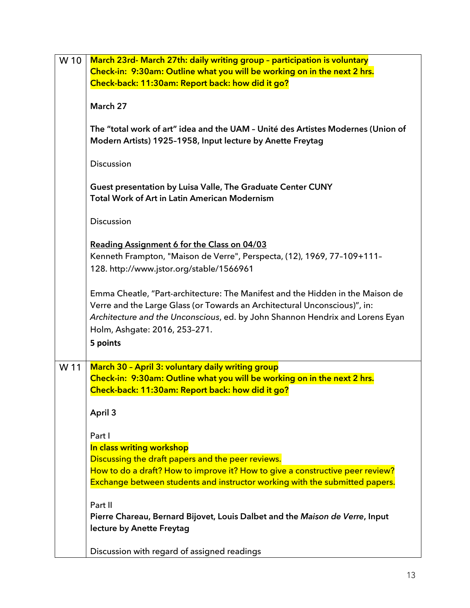| W 10 | March 23rd- March 27th: daily writing group - participation is voluntary<br>Check-in: 9:30am: Outline what you will be working on in the next 2 hrs.<br>Check-back: 11:30am: Report back: how did it go?                                                                                  |
|------|-------------------------------------------------------------------------------------------------------------------------------------------------------------------------------------------------------------------------------------------------------------------------------------------|
|      | March 27                                                                                                                                                                                                                                                                                  |
|      | The "total work of art" idea and the UAM - Unité des Artistes Modernes (Union of<br>Modern Artists) 1925-1958, Input lecture by Anette Freytag                                                                                                                                            |
|      | Discussion                                                                                                                                                                                                                                                                                |
|      | Guest presentation by Luisa Valle, The Graduate Center CUNY<br><b>Total Work of Art in Latin American Modernism</b>                                                                                                                                                                       |
|      | Discussion                                                                                                                                                                                                                                                                                |
|      | Reading Assignment 6 for the Class on 04/03<br>Kenneth Frampton, "Maison de Verre", Perspecta, (12), 1969, 77-109+111-<br>128. http://www.jstor.org/stable/1566961                                                                                                                        |
|      | Emma Cheatle, "Part-architecture: The Manifest and the Hidden in the Maison de<br>Verre and the Large Glass (or Towards an Architectural Unconscious)", in:<br>Architecture and the Unconscious, ed. by John Shannon Hendrix and Lorens Eyan<br>Holm, Ashgate: 2016, 253-271.<br>5 points |
| W 11 | March 30 - April 3: voluntary daily writing group<br>Check-in: 9:30am: Outline what you will be working on in the next 2 hrs.                                                                                                                                                             |
|      | Check-back: 11:30am: Report back: how did it go?                                                                                                                                                                                                                                          |
|      | April 3                                                                                                                                                                                                                                                                                   |
|      | Part I<br>In class writing workshop<br>Discussing the draft papers and the peer reviews.<br>How to do a draft? How to improve it? How to give a constructive peer review?<br>Exchange between students and instructor working with the submitted papers.                                  |
|      | Part II<br>Pierre Chareau, Bernard Bijovet, Louis Dalbet and the Maison de Verre, Input<br>lecture by Anette Freytag                                                                                                                                                                      |
|      | Discussion with regard of assigned readings                                                                                                                                                                                                                                               |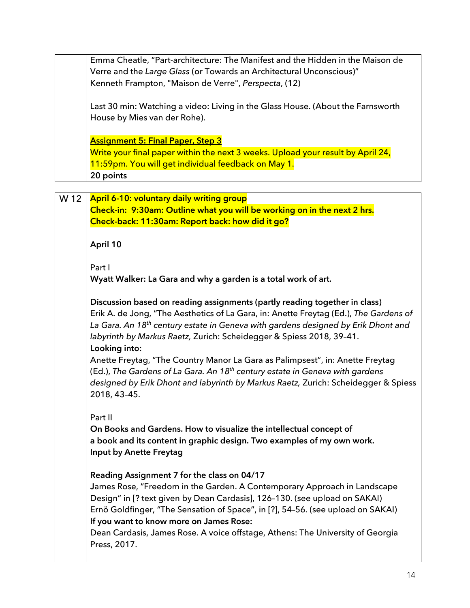|      | Emma Cheatle, "Part-architecture: The Manifest and the Hidden in the Maison de<br>Verre and the Large Glass (or Towards an Architectural Unconscious)"<br>Kenneth Frampton, "Maison de Verre", Perspecta, (12)                                                                                                                                                                                                                        |
|------|---------------------------------------------------------------------------------------------------------------------------------------------------------------------------------------------------------------------------------------------------------------------------------------------------------------------------------------------------------------------------------------------------------------------------------------|
|      | Last 30 min: Watching a video: Living in the Glass House. (About the Farnsworth<br>House by Mies van der Rohe).                                                                                                                                                                                                                                                                                                                       |
|      | <b>Assignment 5: Final Paper, Step 3</b>                                                                                                                                                                                                                                                                                                                                                                                              |
|      | Write your final paper within the next 3 weeks. Upload your result by April 24,                                                                                                                                                                                                                                                                                                                                                       |
|      | 11:59pm. You will get individual feedback on May 1.                                                                                                                                                                                                                                                                                                                                                                                   |
|      | 20 points                                                                                                                                                                                                                                                                                                                                                                                                                             |
| W 12 | April 6-10: voluntary daily writing group<br>Check-in: 9:30am: Outline what you will be working on in the next 2 hrs.<br>Check-back: 11:30am: Report back: how did it go?                                                                                                                                                                                                                                                             |
|      | April 10                                                                                                                                                                                                                                                                                                                                                                                                                              |
|      | Part I<br>Wyatt Walker: La Gara and why a garden is a total work of art.                                                                                                                                                                                                                                                                                                                                                              |
|      | Discussion based on reading assignments (partly reading together in class)<br>Erik A. de Jong, "The Aesthetics of La Gara, in: Anette Freytag (Ed.), The Gardens of<br>La Gara. An 18 <sup>th</sup> century estate in Geneva with gardens designed by Erik Dhont and<br>labyrinth by Markus Raetz, Zurich: Scheidegger & Spiess 2018, 39-41.<br>Looking into:                                                                         |
|      | Anette Freytag, "The Country Manor La Gara as Palimpsest", in: Anette Freytag<br>(Ed.), The Gardens of La Gara. An 18 <sup>th</sup> century estate in Geneva with gardens<br>designed by Erik Dhont and labyrinth by Markus Raetz, Zurich: Scheidegger & Spiess<br>2018, 43-45.                                                                                                                                                       |
|      | Part II<br>On Books and Gardens. How to visualize the intellectual concept of<br>a book and its content in graphic design. Two examples of my own work.<br>Input by Anette Freytag                                                                                                                                                                                                                                                    |
|      | Reading Assignment 7 for the class on 04/17<br>James Rose, "Freedom in the Garden. A Contemporary Approach in Landscape<br>Design" in [? text given by Dean Cardasis], 126-130. (see upload on SAKAI)<br>Ernö Goldfinger, "The Sensation of Space", in [?], 54-56. (see upload on SAKAI)<br>If you want to know more on James Rose:<br>Dean Cardasis, James Rose. A voice offstage, Athens: The University of Georgia<br>Press, 2017. |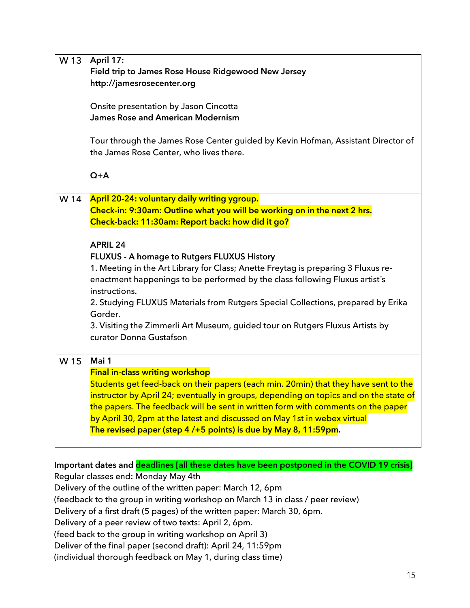| W 13 | April 17:                                                                             |
|------|---------------------------------------------------------------------------------------|
|      | Field trip to James Rose House Ridgewood New Jersey                                   |
|      | http://jamesrosecenter.org                                                            |
|      |                                                                                       |
|      | Onsite presentation by Jason Cincotta                                                 |
|      | <b>James Rose and American Modernism</b>                                              |
|      |                                                                                       |
|      | Tour through the James Rose Center guided by Kevin Hofman, Assistant Director of      |
|      | the James Rose Center, who lives there.                                               |
|      |                                                                                       |
|      | $Q+A$                                                                                 |
|      |                                                                                       |
| W 14 | April 20-24: voluntary daily writing ygroup.                                          |
|      | Check-in: 9:30am: Outline what you will be working on in the next 2 hrs.              |
|      | Check-back: 11:30am: Report back: how did it go?                                      |
|      |                                                                                       |
|      | <b>APRIL 24</b>                                                                       |
|      | <b>FLUXUS - A homage to Rutgers FLUXUS History</b>                                    |
|      | 1. Meeting in the Art Library for Class; Anette Freytag is preparing 3 Fluxus re-     |
|      | enactment happenings to be performed by the class following Fluxus artist's           |
|      | instructions.                                                                         |
|      | 2. Studying FLUXUS Materials from Rutgers Special Collections, prepared by Erika      |
|      | Gorder.                                                                               |
|      |                                                                                       |
|      | 3. Visiting the Zimmerli Art Museum, guided tour on Rutgers Fluxus Artists by         |
|      | curator Donna Gustafson                                                               |
| W 15 | Mai 1                                                                                 |
|      |                                                                                       |
|      | <b>Final in-class writing workshop</b>                                                |
|      | Students get feed-back on their papers (each min. 20min) that they have sent to the   |
|      | instructor by April 24; eventually in groups, depending on topics and on the state of |
|      | the papers. The feedback will be sent in written form with comments on the paper      |
|      | by April 30, 2pm at the latest and discussed on May 1st in webex virtual              |
|      | The revised paper (step 4/+5 points) is due by May 8, 11:59pm.                        |
|      |                                                                                       |

**Important dates and deadlines [all these dates have been postponed in the COVID 19 crisis]** Regular classes end: Monday May 4th Delivery of the outline of the written paper: March 12, 6pm (feedback to the group in writing workshop on March 13 in class / peer review) Delivery of a first draft (5 pages) of the written paper: March 30, 6pm. Delivery of a peer review of two texts: April 2, 6pm. (feed back to the group in writing workshop on April 3) Deliver of the final paper (second draft): April 24, 11:59pm (individual thorough feedback on May 1, during class time)